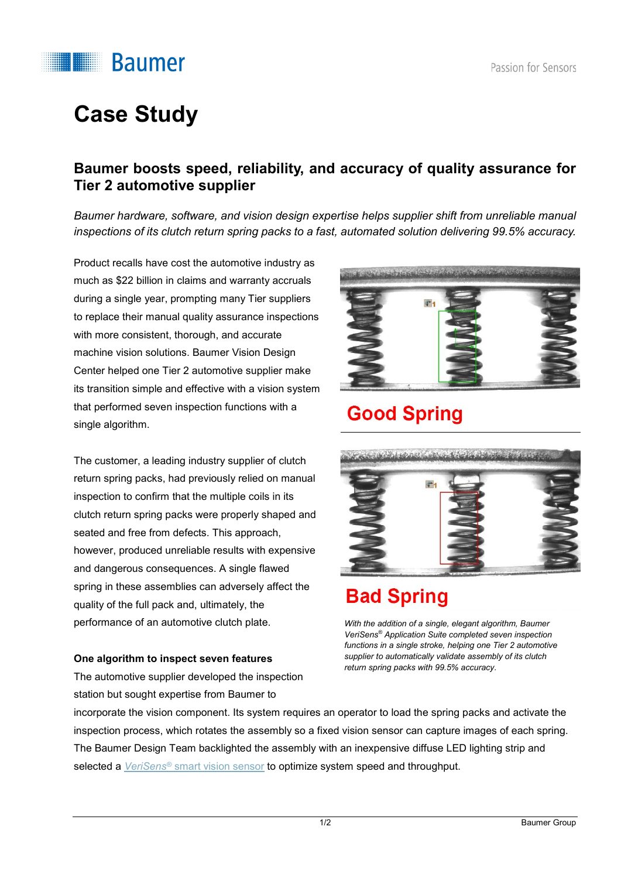

# **Case Study**

#### **Baumer boosts speed, reliability, and accuracy of quality assurance for Tier 2 automotive supplier**

*Baumer hardware, software, and vision design expertise helps supplier shift from unreliable manual inspections of its clutch return spring packs to a fast, automated solution delivering 99.5% accuracy.* 

Product recalls have cost the automotive industry as much as \$22 billion in claims and warranty accruals during a single year, prompting many Tier suppliers to replace their manual quality assurance inspections with more consistent, thorough, and accurate machine vision solutions. Baumer Vision Design Center helped one Tier 2 automotive supplier make its transition simple and effective with a vision system that performed seven inspection functions with a single algorithm.

The customer, a leading industry supplier of clutch return spring packs, had previously relied on manual inspection to confirm that the multiple coils in its clutch return spring packs were properly shaped and seated and free from defects. This approach, however, produced unreliable results with expensive and dangerous consequences. A single flawed spring in these assemblies can adversely affect the quality of the full pack and, ultimately, the performance of an automotive clutch plate.

#### **One algorithm to inspect seven features**

The automotive supplier developed the inspection station but sought expertise from Baumer to



### **Good Spring**



### **Bad Spring**

*With the addition of a single, elegant algorithm, Baumer VeriSens® Application Suite completed seven inspection functions in a single stroke, helping one Tier 2 automotive supplier to automatically validate assembly of its clutch return spring packs with 99.5% accuracy.*

incorporate the vision component. Its system requires an operator to load the spring packs and activate the inspection process, which rotates the assembly so a fixed vision sensor can capture images of each spring. The Baumer Design Team backlighted the assembly with an inexpensive diffuse LED lighting strip and selected a *VeriSens®* [smart vision sensor](https://www.baumer.com/us/en/product-overview/industrial-cameras-image-processing/vision-sensors/c/332) to optimize system speed and throughput.